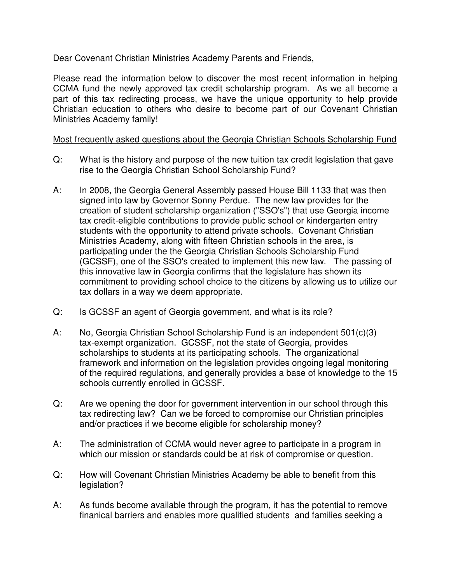Dear Covenant Christian Ministries Academy Parents and Friends,

Please read the information below to discover the most recent information in helping CCMA fund the newly approved tax credit scholarship program. As we all become a part of this tax redirecting process, we have the unique opportunity to help provide Christian education to others who desire to become part of our Covenant Christian Ministries Academy family!

## Most frequently asked questions about the Georgia Christian Schools Scholarship Fund

- Q: What is the history and purpose of the new tuition tax credit legislation that gave rise to the Georgia Christian School Scholarship Fund?
- A: In 2008, the Georgia General Assembly passed House Bill 1133 that was then signed into law by Governor Sonny Perdue. The new law provides for the creation of student scholarship organization ("SSO's") that use Georgia income tax credit-eligible contributions to provide public school or kindergarten entry students with the opportunity to attend private schools. Covenant Christian Ministries Academy, along with fifteen Christian schools in the area, is participating under the the Georgia Christian Schools Scholarship Fund (GCSSF), one of the SSO's created to implement this new law. The passing of this innovative law in Georgia confirms that the legislature has shown its commitment to providing school choice to the citizens by allowing us to utilize our tax dollars in a way we deem appropriate.
- Q: Is GCSSF an agent of Georgia government, and what is its role?
- A: No, Georgia Christian School Scholarship Fund is an independent 501(c)(3) tax-exempt organization. GCSSF, not the state of Georgia, provides scholarships to students at its participating schools. The organizational framework and information on the legislation provides ongoing legal monitoring of the required regulations, and generally provides a base of knowledge to the 15 schools currently enrolled in GCSSF.
- Q: Are we opening the door for government intervention in our school through this tax redirecting law? Can we be forced to compromise our Christian principles and/or practices if we become eligible for scholarship money?
- A: The administration of CCMA would never agree to participate in a program in which our mission or standards could be at risk of compromise or question.
- Q: How will Covenant Christian Ministries Academy be able to benefit from this legislation?
- A: As funds become available through the program, it has the potential to remove finanical barriers and enables more qualified students and families seeking a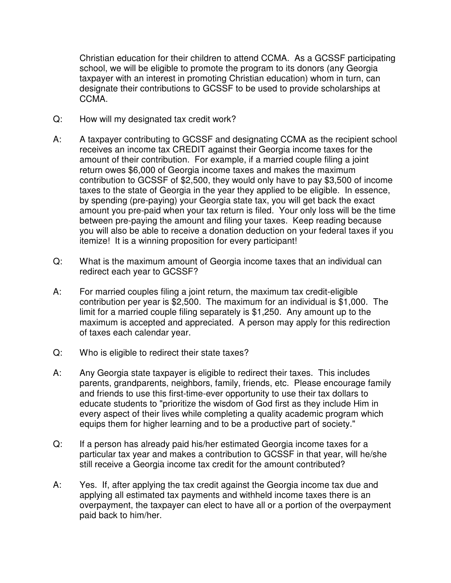Christian education for their children to attend CCMA. As a GCSSF participating school, we will be eligible to promote the program to its donors (any Georgia taxpayer with an interest in promoting Christian education) whom in turn, can designate their contributions to GCSSF to be used to provide scholarships at CCMA.

- Q: How will my designated tax credit work?
- A: A taxpayer contributing to GCSSF and designating CCMA as the recipient school receives an income tax CREDIT against their Georgia income taxes for the amount of their contribution. For example, if a married couple filing a joint return owes \$6,000 of Georgia income taxes and makes the maximum contribution to GCSSF of \$2,500, they would only have to pay \$3,500 of income taxes to the state of Georgia in the year they applied to be eligible. In essence, by spending (pre-paying) your Georgia state tax, you will get back the exact amount you pre-paid when your tax return is filed. Your only loss will be the time between pre-paying the amount and filing your taxes. Keep reading because you will also be able to receive a donation deduction on your federal taxes if you itemize! It is a winning proposition for every participant!
- Q: What is the maximum amount of Georgia income taxes that an individual can redirect each year to GCSSF?
- A: For married couples filing a joint return, the maximum tax credit-eligible contribution per year is \$2,500. The maximum for an individual is \$1,000. The limit for a married couple filing separately is \$1,250. Any amount up to the maximum is accepted and appreciated. A person may apply for this redirection of taxes each calendar year.
- Q: Who is eligible to redirect their state taxes?
- A: Any Georgia state taxpayer is eligible to redirect their taxes. This includes parents, grandparents, neighbors, family, friends, etc. Please encourage family and friends to use this first-time-ever opportunity to use their tax dollars to educate students to "prioritize the wisdom of God first as they include Him in every aspect of their lives while completing a quality academic program which equips them for higher learning and to be a productive part of society."
- Q: If a person has already paid his/her estimated Georgia income taxes for a particular tax year and makes a contribution to GCSSF in that year, will he/she still receive a Georgia income tax credit for the amount contributed?
- A: Yes. If, after applying the tax credit against the Georgia income tax due and applying all estimated tax payments and withheld income taxes there is an overpayment, the taxpayer can elect to have all or a portion of the overpayment paid back to him/her.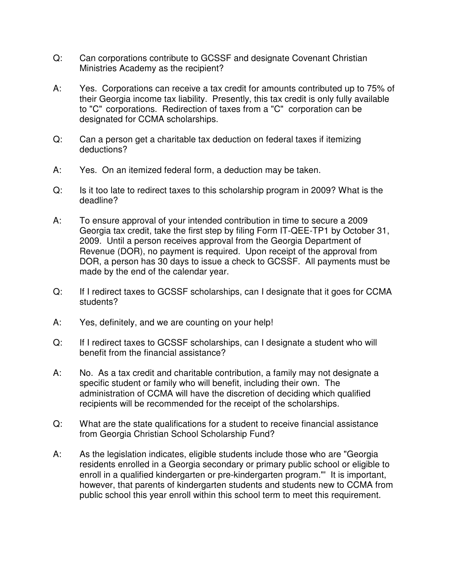- Q: Can corporations contribute to GCSSF and designate Covenant Christian Ministries Academy as the recipient?
- A: Yes. Corporations can receive a tax credit for amounts contributed up to 75% of their Georgia income tax liability. Presently, this tax credit is only fully available to "C" corporations. Redirection of taxes from a "C" corporation can be designated for CCMA scholarships.
- Q: Can a person get a charitable tax deduction on federal taxes if itemizing deductions?
- A: Yes. On an itemized federal form, a deduction may be taken.
- Q: Is it too late to redirect taxes to this scholarship program in 2009? What is the deadline?
- A: To ensure approval of your intended contribution in time to secure a 2009 Georgia tax credit, take the first step by filing Form IT-QEE-TP1 by October 31, 2009. Until a person receives approval from the Georgia Department of Revenue (DOR), no payment is required. Upon receipt of the approval from DOR, a person has 30 days to issue a check to GCSSF. All payments must be made by the end of the calendar year.
- Q: If I redirect taxes to GCSSF scholarships, can I designate that it goes for CCMA students?
- A: Yes, definitely, and we are counting on your help!
- Q: If I redirect taxes to GCSSF scholarships, can I designate a student who will benefit from the financial assistance?
- A: No. As a tax credit and charitable contribution, a family may not designate a specific student or family who will benefit, including their own. The administration of CCMA will have the discretion of deciding which qualified recipients will be recommended for the receipt of the scholarships.
- Q: What are the state qualifications for a student to receive financial assistance from Georgia Christian School Scholarship Fund?
- A: As the legislation indicates, eligible students include those who are "Georgia residents enrolled in a Georgia secondary or primary public school or eligible to enroll in a qualified kindergarten or pre-kindergarten program."' It is important, however, that parents of kindergarten students and students new to CCMA from public school this year enroll within this school term to meet this requirement.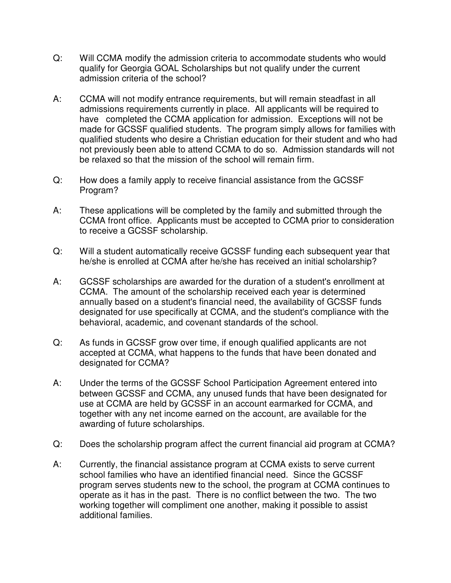- Q: Will CCMA modify the admission criteria to accommodate students who would qualify for Georgia GOAL Scholarships but not qualify under the current admission criteria of the school?
- A: CCMA will not modify entrance requirements, but will remain steadfast in all admissions requirements currently in place. All applicants will be required to have completed the CCMA application for admission. Exceptions will not be made for GCSSF qualified students. The program simply allows for families with qualified students who desire a Christian education for their student and who had not previously been able to attend CCMA to do so. Admission standards will not be relaxed so that the mission of the school will remain firm.
- Q: How does a family apply to receive financial assistance from the GCSSF Program?
- A: These applications will be completed by the family and submitted through the CCMA front office. Applicants must be accepted to CCMA prior to consideration to receive a GCSSF scholarship.
- Q: Will a student automatically receive GCSSF funding each subsequent year that he/she is enrolled at CCMA after he/she has received an initial scholarship?
- A: GCSSF scholarships are awarded for the duration of a student's enrollment at CCMA. The amount of the scholarship received each year is determined annually based on a student's financial need, the availability of GCSSF funds designated for use specifically at CCMA, and the student's compliance with the behavioral, academic, and covenant standards of the school.
- Q: As funds in GCSSF grow over time, if enough qualified applicants are not accepted at CCMA, what happens to the funds that have been donated and designated for CCMA?
- A: Under the terms of the GCSSF School Participation Agreement entered into between GCSSF and CCMA, any unused funds that have been designated for use at CCMA are held by GCSSF in an account earmarked for CCMA, and together with any net income earned on the account, are available for the awarding of future scholarships.
- Q: Does the scholarship program affect the current financial aid program at CCMA?
- A: Currently, the financial assistance program at CCMA exists to serve current school families who have an identified financial need. Since the GCSSF program serves students new to the school, the program at CCMA continues to operate as it has in the past. There is no conflict between the two. The two working together will compliment one another, making it possible to assist additional families.